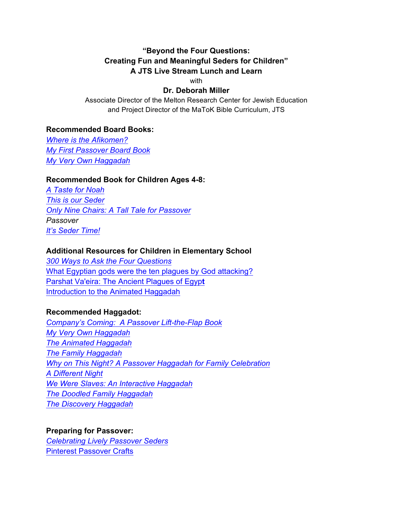# **"Beyond the Four Questions: Creating Fun and Meaningful Seders for Children" A JTS Live Stream Lunch and Learn**

with

### **Dr. Deborah Miller**

Associate Director of the Melton Research Center for Jewish Education and Project Director of the MaToK Bible Curriculum, JTS

### **Recommended Board Books:**

*Where is the Afikomen? My First Passover Board Book My Very Own Haggadah*

#### **Recommended Book for Children Ages 4-8:**

*A Taste for Noah This is our Seder Only Nine Chairs: A Tall Tale for Passover Passover It's Seder Time!*

#### **Additional Resources for Children in Elementary School**

*300 Ways to Ask the Four Questions* What Egyptian gods were the ten plagues by God attacking? Parshat Va'eira: The Ancient Plagues of Egyp**t**  Introduction to the Animated Haggadah

### **Recommended Haggadot:**

*Company's Coming: A Passover Lift-the-Flap Book My Very Own Haggadah The Animated Haggadah The Family Haggadah Why on This Night? A Passover Haggadah for Family Celebration A Different Night We Were Slaves: An Interactive Haggadah The Doodled Family Haggadah The Discovery Haggadah*

### **Preparing for Passover:** *Celebrating Lively Passover Seders* Pinterest Passover Crafts